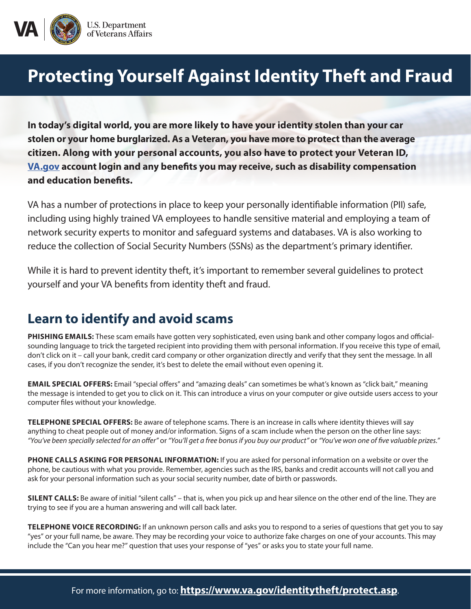

## **Protecting Yourself Against Identity Theft and Fraud**

**In today's digital world, you are more likely to have your identity stolen than your car stolen or your home burglarized. As a Veteran, you have more to protect than the average citizen. Along with your personal accounts, you also have to protect your Veteran ID, [VA.gov](http://VA.gov) account login and any benefits you may receive, such as disability compensation and education benefits.** 

VA has a number of protections in place to keep your personally identifiable information (PII) safe, including using highly trained VA employees to handle sensitive material and employing a team of network security experts to monitor and safeguard systems and databases. VA is also working to reduce the collection of Social Security Numbers (SSNs) as the department's primary identifier.

While it is hard to prevent identity theft, it's important to remember several guidelines to protect yourself and your VA benefits from identity theft and fraud.

## **Learn to identify and avoid scams**

**PHISHING EMAILS:** These scam emails have gotten very sophisticated, even using bank and other company logos and officialsounding language to trick the targeted recipient into providing them with personal information. If you receive this type of email, don't click on it – call your bank, credit card company or other organization directly and verify that they sent the message. In all cases, if you don't recognize the sender, it's best to delete the email without even opening it.

**EMAIL SPECIAL OFFERS:** Email "special offers" and "amazing deals" can sometimes be what's known as "click bait," meaning the message is intended to get you to click on it. This can introduce a virus on your computer or give outside users access to your computer files without your knowledge.

**TELEPHONE SPECIAL OFFERS:** Be aware of telephone scams. There is an increase in calls where identity thieves will say anything to cheat people out of money and/or information. Signs of a scam include when the person on the other line says: *"You've been specially selected for an offer"* or *"You'll get a free bonus if you buy our product"* or *"You've won one of five valuable prizes."*

**PHONE CALLS ASKING FOR PERSONAL INFORMATION:** If you are asked for personal information on a website or over the phone, be cautious with what you provide. Remember, agencies such as the IRS, banks and credit accounts will not call you and ask for your personal information such as your social security number, date of birth or passwords.

**SILENT CALLS:** Be aware of initial "silent calls" – that is, when you pick up and hear silence on the other end of the line. They are trying to see if you are a human answering and will call back later.

**TELEPHONE VOICE RECORDING:** If an unknown person calls and asks you to respond to a series of questions that get you to say "yes" or your full name, be aware. They may be recording your voice to authorize fake charges on one of your accounts. This may include the "Can you hear me?" question that uses your response of "yes" or asks you to state your full name.